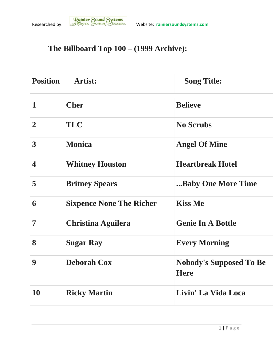## **The Billboard Top 100 – (1999 Archive):**

| <b>Position</b>         | <b>Artist:</b>                  | <b>Song Title:</b>                            |
|-------------------------|---------------------------------|-----------------------------------------------|
| $\mathbf{1}$            | <b>Cher</b>                     | <b>Believe</b>                                |
| $\overline{2}$          | <b>TLC</b>                      | <b>No Scrubs</b>                              |
| $\overline{\mathbf{3}}$ | <b>Monica</b>                   | <b>Angel Of Mine</b>                          |
| $\overline{\mathbf{4}}$ | <b>Whitney Houston</b>          | <b>Heartbreak Hotel</b>                       |
| 5                       | <b>Britney Spears</b>           | Baby One More Time                            |
| 6                       | <b>Sixpence None The Richer</b> | <b>Kiss Me</b>                                |
| 7                       | <b>Christina Aguilera</b>       | <b>Genie In A Bottle</b>                      |
| 8                       | <b>Sugar Ray</b>                | <b>Every Morning</b>                          |
| 9                       | <b>Deborah Cox</b>              | <b>Nobody's Supposed To Be</b><br><b>Here</b> |
| 10                      | <b>Ricky Martin</b>             | Livin' La Vida Loca                           |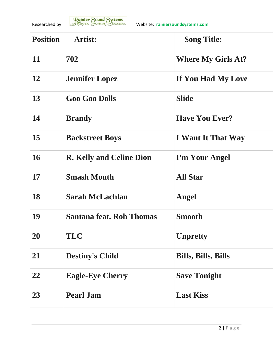

| <b>Position</b> | <b>Artist:</b>                  | <b>Song Title:</b>         |
|-----------------|---------------------------------|----------------------------|
| 11              | 702                             | <b>Where My Girls At?</b>  |
| 12              | <b>Jennifer Lopez</b>           | If You Had My Love         |
| 13              | <b>Goo Goo Dolls</b>            | <b>Slide</b>               |
| 14              | <b>Brandy</b>                   | <b>Have You Ever?</b>      |
| 15              | <b>Backstreet Boys</b>          | <b>I</b> Want It That Way  |
| 16              | <b>R. Kelly and Celine Dion</b> | I'm Your Angel             |
| 17              | <b>Smash Mouth</b>              | <b>All Star</b>            |
| 18              | <b>Sarah McLachlan</b>          | Angel                      |
| 19              | Santana feat. Rob Thomas        | <b>Smooth</b>              |
| 20              | <b>TLC</b>                      | <b>Unpretty</b>            |
| 21              | <b>Destiny's Child</b>          | <b>Bills, Bills, Bills</b> |
| 22              | <b>Eagle-Eye Cherry</b>         | <b>Save Tonight</b>        |
| 23              | <b>Pearl Jam</b>                | <b>Last Kiss</b>           |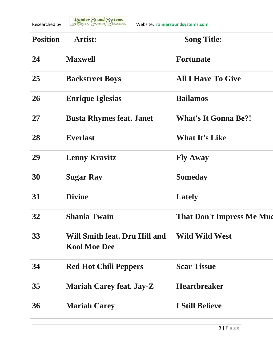

| <b>Position</b> | <b>Artist:</b>                                       | <b>Song Title:</b>               |
|-----------------|------------------------------------------------------|----------------------------------|
| 24              | <b>Maxwell</b>                                       | <b>Fortunate</b>                 |
| 25              | <b>Backstreet Boys</b>                               | <b>All I Have To Give</b>        |
| 26              | <b>Enrique Iglesias</b>                              | <b>Bailamos</b>                  |
| 27              | <b>Busta Rhymes feat. Janet</b>                      | <b>What's It Gonna Be?!</b>      |
| 28              | <b>Everlast</b>                                      | <b>What It's Like</b>            |
| 29              | <b>Lenny Kravitz</b>                                 | <b>Fly Away</b>                  |
| 30              | <b>Sugar Ray</b>                                     | <b>Someday</b>                   |
| 31              | <b>Divine</b>                                        | <b>Lately</b>                    |
| 32              | <b>Shania Twain</b>                                  | <b>That Don't Impress Me Muc</b> |
| 33              | Will Smith feat. Dru Hill and<br><b>Kool Moe Dee</b> | <b>Wild Wild West</b>            |
| 34              | <b>Red Hot Chili Peppers</b>                         | <b>Scar Tissue</b>               |
| 35              | <b>Mariah Carey feat. Jay-Z</b>                      | <b>Heartbreaker</b>              |
| 36              | <b>Mariah Carey</b>                                  | <b>I Still Believe</b>           |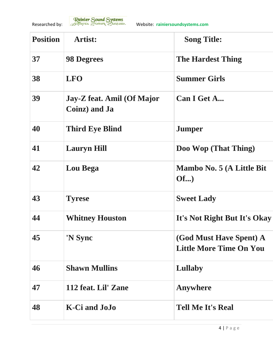

| <b>Position</b> | <b>Artist:</b>                              | <b>Song Title:</b>                                        |
|-----------------|---------------------------------------------|-----------------------------------------------------------|
| 37              | <b>98 Degrees</b>                           | <b>The Hardest Thing</b>                                  |
| 38              | <b>LFO</b>                                  | <b>Summer Girls</b>                                       |
| 39              | Jay-Z feat. Amil (Of Major<br>Coinz) and Ja | Can I Get A                                               |
| 40              | <b>Third Eye Blind</b>                      | <b>Jumper</b>                                             |
| 41              | <b>Lauryn Hill</b>                          | Doo Wop (That Thing)                                      |
| 42              | <b>Lou Bega</b>                             | Mambo No. 5 (A Little Bit<br>Of                           |
| 43              | <b>Tyrese</b>                               | <b>Sweet Lady</b>                                         |
| 44              | <b>Whitney Houston</b>                      | It's Not Right But It's Okay                              |
| 45              | 'N Sync                                     | (God Must Have Spent) A<br><b>Little More Time On You</b> |
| 46              | <b>Shawn Mullins</b>                        | Lullaby                                                   |
| 47              | 112 feat. Lil' Zane                         | Anywhere                                                  |
| 48              | K-Ci and JoJo                               | <b>Tell Me It's Real</b>                                  |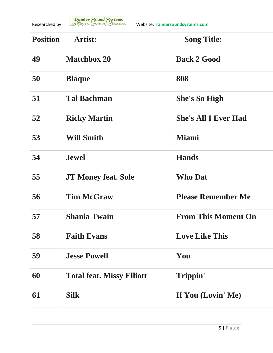

| <b>Position</b> | <b>Artist:</b>                   | <b>Song Title:</b>          |
|-----------------|----------------------------------|-----------------------------|
| 49              | <b>Matchbox 20</b>               | <b>Back 2 Good</b>          |
| 50              | <b>Blaque</b>                    | 808                         |
| 51              | <b>Tal Bachman</b>               | <b>She's So High</b>        |
| 52              | <b>Ricky Martin</b>              | <b>She's All I Ever Had</b> |
| 53              | <b>Will Smith</b>                | <b>Miami</b>                |
| 54              | <b>Jewel</b>                     | <b>Hands</b>                |
| 55              | <b>JT Money feat. Sole</b>       | <b>Who Dat</b>              |
| 56              | <b>Tim McGraw</b>                | <b>Please Remember Me</b>   |
| 57              | <b>Shania Twain</b>              | <b>From This Moment On</b>  |
| 58              | <b>Faith Evans</b>               | <b>Love Like This</b>       |
| 59              | <b>Jesse Powell</b>              | You                         |
| 60              | <b>Total feat. Missy Elliott</b> | Trippin'                    |
| 61              | <b>Silk</b>                      | If You (Lovin' Me)          |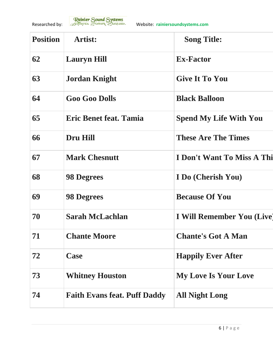

| <b>Position</b> | <b>Artist:</b>                      | <b>Song Title:</b>            |
|-----------------|-------------------------------------|-------------------------------|
| 62              | <b>Lauryn Hill</b>                  | <b>Ex-Factor</b>              |
| 63              | <b>Jordan Knight</b>                | <b>Give It To You</b>         |
| 64              | <b>Goo Goo Dolls</b>                | <b>Black Balloon</b>          |
| 65              | <b>Eric Benet feat. Tamia</b>       | <b>Spend My Life With You</b> |
| 66              | <b>Dru Hill</b>                     | <b>These Are The Times</b>    |
| 67              | <b>Mark Chesnutt</b>                | I Don't Want To Miss A Thi    |
| 68              | <b>98 Degrees</b>                   | I Do (Cherish You)            |
| 69              | <b>98 Degrees</b>                   | <b>Because Of You</b>         |
| 70              | <b>Sarah McLachlan</b>              | I Will Remember You (Live)    |
| 71              | <b>Chante Moore</b>                 | <b>Chante's Got A Man</b>     |
| 72              | Case                                | <b>Happily Ever After</b>     |
| 73              | <b>Whitney Houston</b>              | <b>My Love Is Your Love</b>   |
| 74              | <b>Faith Evans feat. Puff Daddy</b> | <b>All Night Long</b>         |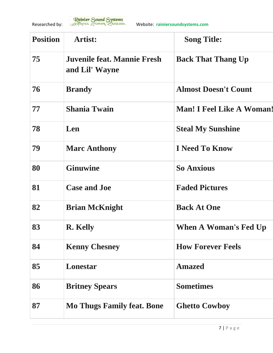

| <b>Position</b> | <b>Artist:</b>                                | <b>Song Title:</b>               |
|-----------------|-----------------------------------------------|----------------------------------|
| 75              | Juvenile feat. Mannie Fresh<br>and Lil' Wayne | <b>Back That Thang Up</b>        |
| 76              | <b>Brandy</b>                                 | <b>Almost Doesn't Count</b>      |
| 77              | <b>Shania Twain</b>                           | <b>Man! I Feel Like A Woman!</b> |
| 78              | Len                                           | <b>Steal My Sunshine</b>         |
| 79              | <b>Marc Anthony</b>                           | <b>I</b> Need To Know            |
| 80              | <b>Ginuwine</b>                               | <b>So Anxious</b>                |
| 81              | <b>Case and Joe</b>                           | <b>Faded Pictures</b>            |
| 82              | <b>Brian McKnight</b>                         | <b>Back At One</b>               |
| 83              | <b>R.</b> Kelly                               | When A Woman's Fed Up            |
| 84              | <b>Kenny Chesney</b>                          | <b>How Forever Feels</b>         |
| 85              | Lonestar                                      | <b>Amazed</b>                    |
| 86              | <b>Britney Spears</b>                         | <b>Sometimes</b>                 |
| 87              | <b>Mo Thugs Family feat. Bone</b>             | <b>Ghetto Cowboy</b>             |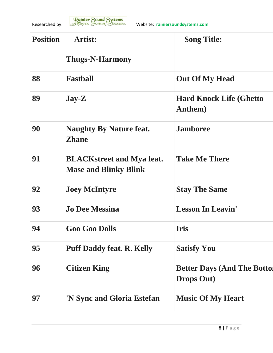

| <b>Position</b> | <b>Artist:</b>                                                   | <b>Song Title:</b>                                       |
|-----------------|------------------------------------------------------------------|----------------------------------------------------------|
|                 | <b>Thugs-N-Harmony</b>                                           |                                                          |
| 88              | <b>Fastball</b>                                                  | <b>Out Of My Head</b>                                    |
| 89              | $\bf Jay-Z$                                                      | <b>Hard Knock Life (Ghetto)</b><br>Anthem)               |
| 90              | <b>Naughty By Nature feat.</b><br><b>Zhane</b>                   | <b>Jamboree</b>                                          |
| 91              | <b>BLACKstreet and Mya feat.</b><br><b>Mase and Blinky Blink</b> | <b>Take Me There</b>                                     |
| 92              | <b>Joey McIntyre</b>                                             | <b>Stay The Same</b>                                     |
| 93              | <b>Jo Dee Messina</b>                                            | <b>Lesson In Leavin'</b>                                 |
| 94              | <b>Goo Goo Dolls</b>                                             | <b>Iris</b>                                              |
| 95              | <b>Puff Daddy feat. R. Kelly</b>                                 | <b>Satisfy You</b>                                       |
| 96              | <b>Citizen King</b>                                              | <b>Better Days (And The Botton</b><br><b>Drops Out</b> ) |
| 97              | 'N Sync and Gloria Estefan                                       | <b>Music Of My Heart</b>                                 |